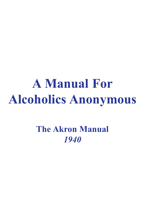# **A Manual For Alcoholics Anonymous**

**The Akron Manual** *1940*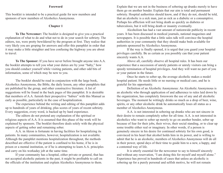#### **Foreword**

This booklet is intended to be a practical guide for new members and sponsors of new members of Alcoholics Anonymous.

#### **Chapter 1**

**To The Newcomer:** The booklet is designed to give you a practical explanation of what to do and what not to do in your search for sobriety. The editors, too, were pretty bewildered by the program at first. They realize that very likely you are groping for answers and offer this pamphlet in order that it may make a little straighter and less confusing the highway you are about to travel.

**To The Sponsor:** If you have never before brought anyone into A.A. the booklet attempts to tell you what your duties are by your "baby," how you should conduct yourself while visiting patients, and other odd bits of information, some of which may be new to you.

The booklet should be read in conjunction with the large book, Alcoholics Anonymous, the Bible, the daily lesson, any other pamphlets that are published by the group, and other constructive literature. A list of suggestions will be found in the back pages of this pamphlet. It is desirable that members of A.A. furnish their prospective "babies" with this Manual as early as possible, particularly in the case of hospitalization.

The experience behind the writing and editing of this pamphlet adds up to hundreds of years of drinking, plus scores of years of recent sobriety. Every suggestion, every word, is backed up by hard experience.

The editors do not pretend any explanation of the spiritual or religious aspects of A.A. It is assumed that this phase of the work will be explained by sponsors. The booklet therefore deals solely with the physical aspects of getting sober and remaining sober.

A.A. in Akron is fortunate in having facilities for hospitalizing its patients. In many communities, however, hospitalization is not available. Although the pamphlet mentions hospitalization throughout, the methods described are effective if the patient is confined to his home, if he is in prison or a mental institution, or if he is attempting to learn A.A. principles and carry on his workaday job at the same time.

If your community has a hospital, either private or general, that has not accepted alcoholic patients in the past, it might be profitable to call on the officials of the institution and explain Alcoholics Anonymous to them.

Explain that we are not in the business of sobering up drunks merely to have them go on another bender. Explain that our aim is total and permanent sobriety. Hospital authorities should know, and if they do not, should be told, that an alcoholic is a sick man, just as sick as a diabetic or a consumptive. Perhaps his affliction will not bring death as quickly as diabetes or tuberculosis, but it will bring death or insanity eventually.

Alcoholism has had a vast amount of nationwide publicity in recent years. It has been discussed in medical journals, national magazines and newspapers. It is possible that a little sales talk will convince the hospital authorities in your community that they should make beds available for patients sponsored by Alcoholics Anonymous.

If the way is finally opened, it is urged that you guard your hospital privileges carefully. Be as certain as you possibly can that your patient sincerely wants A.A.

Above all, carefully observe all hospital rules. It has been our experience that a succession of unruly patients or unruly visitors can bring a speedy termination of hospital privileges. And they will want no part of you or your patient in the future.

Once he starts to sober up, the average alcoholic makes a model hospital patient. He needs little or no nursing or medical care, and he is grateful for his opportunity.

Definition of an Alcoholic Anonymous: An Alcoholic Anonymous is an alcoholic who through application of and adherence to rules laid down by the organization, has completely foresworn the use of any and all alcoholic beverages. The moment he wittingly drinks so much as a drop of beer, wine, spirits, or any other alcoholic drink he automatically loses all status as a member of Alcoholics Anonymous.

A.A. is not interested in sobering up drunks who are not sincere in their desire to remain completely sober for all time. A.A. is not interested in alcoholics who want to sober up merely to go on another bender, sober up because of fear for their jobs, their wives, their social standing, or to clear up some trouble either real or imaginary. In other words, if a person is genuinely sincere in his desire for continued sobriety for his own good, is convinced in his heart that alcohol holds him in its power, and is willing to admit that he is an alcoholic, members of Alcoholics Anonymous will do all in their power, spend days of their time to guide him to a new, a happy, and a contented way of life.

It is utterly essential for the newcomer to say to himself sincerely and without any reservation, "I am doing this for myself and myself alone." Experience has proved in hundreds of cases that unless an alcoholic is sobering up for a purely personal and selfish motive, he will not remain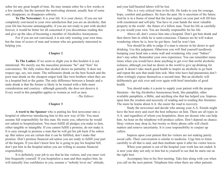sober for any great length of time. He may remain sober for a few weeks or a few months, but the moment the motivating element, usually fear of some sort, disappears, so disappears sobriety.

**To The Newcomer:** It is your life. It is your choice. If you are not completely convinced to your own satisfaction that you are an alcoholic, that your life has become unmanageable; if you are not ready to part with alcohol forever, it would be better for all concerned if you discontinue reading this and give up the idea of becoming a member of Alcoholics Anonymous.

For if you are not convinced, it is not only wasting your own time, but the time of scores of men and women who are genuinely interested in helping you.

## **Chapter 2**

**To The Ladies:** If we seem to slight you in this booklet it is not intentional. We merely use the masculine pronouns "he" and "him" for convenience. We fully realize that alcohol shows no partiality. It does not respect age, sex, nor estate. The millionaire drunk on the best Scotch and the poor man drunk on the cheapest rotgut look like twin brothers when they are in a hospital bed or the gutter. The only difference between a female and a male drunk is that the former is likely to be treated with a little more consideration and courtesy - although generally she does not deserve it. Every word in this pamphlet applies to women as well as men.

*- The Editors*

#### **Chapter 3**

**A word to the Sponsor** who is putting his first newcomer into a hospital or otherwise introducing him to this new way of life: You must assume full responsibility for this man. He trusts you, otherwise he would not submit to hospitalization. You must fulfill all pledges you make to him, either tangible or intangible. If you cannot fulfill a promise, do not make it. It is easy enough to promise a man that he will get his job back if he sobers up. But unless you are certain that it can be fulfilled, don't make that promise. Don't promise financial aid unless you are ready to fulfill your part of the bargain. If you don't know how he is going to pay his hospital bill, don't put him in the hospital unless you are willing to assume financial responsibility.

It is definitely your job to see that he has visitors, and you must visit him frequently yourself. If you hospitalize a man and then neglect him, he will naturally lose confidence in you, assume a "nobody loves me" attitude,

and your half-hearted labors will be lost.

This is a very critical time in his life. He looks to you for courage, hope, comfort and guidance. He fears the past. He is uncertain of the future. And he is in a frame of mind that the least neglect on your part will fill him with resentment and self-pity. You have in your hands the most valuable property in the world - the future of a fellow man. Treat his life as carefully as you would your own. You are literally responsible for his life.

Above all, don't coerce him into a hospital. Don't get him drunk and then throw him in while he is semi-conscious. Chances are he will waken wondering where he is, how he got there. And he won't last.

You should be able to judge if a man is sincere in his desire to quit drinking. Use this judgment. Otherwise you will find yourself needlessly bumping your head into a stone wall and wondering why your "babies" don't stay sober. Remember your own experience. You can remember many times when you would have done anything to get over that awful alcoholic sickness, although you had no desire in the world to give up drinking for good. It doesn't take much good health to inspire an alcoholic to go back and repeat the acts that made him sick. Men who have had pneumonia don't often wittingly expose themselves a second time. But an alcoholic will deliberately get sick over and over again with brief interludes of good health.

You should make it a point to supply your patient with the proper literature - the big Alcoholics Anonymous book, this pamphlet, other available pamphlets, a Bible, and anything else that has helped you. Impress upon him the wisdom and necessity of reading and re-reading this literature. The more he learns about A.A. the easier the road to recovery.

Study the newcomer and decide who among your A.A. friends might have the best story and exert the best influence on him. There are all types in A.A. and regardless of whom you hospitalize, there are dozens who can help him. An hour on the telephone will produce callers. Don't depend on chance. Stray visitors may drop in, but twenty or thirty phone calls will clinch matters and remove uncertainty. It is your responsibility to conjure up callers.

Impress upon your patient that his visitors are not making purely social calls. Their conversation is similar to medicine. Urge him to listen carefully to all that is said, and then meditate upon it after his visitor leaves.

When your patient is out of the hospital your work has not ended. It is now your duty not only to him but to yourself to see that he starts out on the right foot.

Accompany him to his first meeting. Take him along with you when you call on the next patient. Telephone him when there are other patients.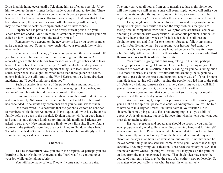Drop in at his home occasionally. Telephone him as often as possible. Urge him to look up the new friends he has made. Counsel and advise him. There was a certain amount of glamour connected with being a patient in the hospital. He had many visitors. His time was occupied. But now that he has been discharged, the glamour has worn off. He probably will be lonely. He may be too timid to seek the companionship of his new friends.

Experience has proved this to be a very critical period. So your labors have not ended. Give him as much attention as you did when you first called on him - until he can find the road by himself.

Remember, you depend on the newcomer to keep you sober as much as he depends on you. So never lose touch with your responsibility, which never ends.

Remember the old adage, "Two is company and three is a crowd." If you find a patient has one or more visitors don't go into the room. An alcoholic goes to the hospital for two reasons only - to get sober and to learn how to keep sober. The former is easy. Cut off the alcohol and a person is bound to get sober. So the really important thing is to learn how to keep sober. Experience has taught that when more than three gather in a room, patient included, the talk turns to the World Series, politics, funny drunken incidents, and "I could drink more than you."

Such discussion is a waste of the patient's time and money. It is assumed that he wants to know how you are managing to keep sober, and you won't hold his attention if there is a crowd in the room.

If you must enter the room when there is another visitor, do it quietly and unobtrusively. Sit down in a corner and be silent until the other visitor has concluded. If he wants any comments from you he will ask for them.

One more word. It is desirable that the patient's visitors be confined to members of Alcoholics Anonymous. Have a quiet talk with his wife or his family before he goes to the hospital. Explain that he will be in good hands and that it is only through kindness to him that his family and friends are asked to stay away. New members are likely to be a little shy. If they find a woman in the patient's room they are not inclined to "let down their hair." The older hands don't mind it, but a new member might unwittingly be kept from delivering a valuable message.

## **Chapter 4**

**To The Newcomer:** Now you are in the hospital. Or perhaps you are learning to be an Alcoholic Anonymous the "hard way" by continuing at your job while undertaking sobriety.

You will have many callers. They will come singly and in pairs.

They may arrive at all hours, from early morning to late night. Some you will like; some you will resent, some will seem stupid; others will strike you as silly, fanatic or slightly insane; some will tell you a story that will be "right down your alley." But remember this - never for one minute forget it:

Every single one of them is a former drunk and every single one is trying to help you! Your visitor has had the very problems that you are facing now. In comparison with some, your problems are trifles. You have one thing in common with every visitor - an alcoholic problem. Your caller may have been sober for a week or for half a decade. He still has an alcoholic problem, and if he for one moment forgets to follow any single rule for sober living, he may be occupying your hospital bed tomorrow.

Alcoholics Anonymous is one hundred percent effective for those who faithfully follow the rules. **It is those who try to cut corners who find themselves back in their old drunken state.**

Your visitor is going out of his way, taking up his time, perhaps missing a pleasant evening at home or at the theater by calling on you. His motives are twofold: He is selfish in that by calling on you he is taking out a little more "sobriety insurance" for himself; and secondly, he is genuinely anxious to pass along the peace and happiness a new way of life has brought him. He is also paying off a debt - paying the people who led him to the path of sobriety by helping someone else. In a very short time you too will find yourself paying off your debt, by carrying the word to another.

Always bear in mind that your caller not so many days or months ago occupied the same bed you are in today.

And here we might, despite our promise earlier in the booklet, give you a hint on the spiritual phase of Alcoholics Anonymous. You will be told to have faith in a Higher Power. First have faith in your visitor. He is sincere. He is not lying to you. He is not attempting to sell you a bill of goods. A.A. is given away, not sold. Believe him when he tells you what you must do to attain sobriety.

His very presence and appearance should be proof to you that the A.A. program really works. He is extending a helping hand and for himself asks nothing in return. Regardless of who he is or what he has to say, listen to him carefully and courteously. Your alcohol-befuddled mind may not absorb all he says in an hour's conversation, but you will find that when he leaves certain things he has said will come back to you. Ponder these things carefully. They may bring you salvation. It has been the history of A.A. that one never knows where lightning will strike. You may pick up the germ of an idea from the most unexpected source. That single idea may shape the course of your entire life, may be the start of an entirely new philosophy. So no matter who your caller is, or what he says, listen attentively.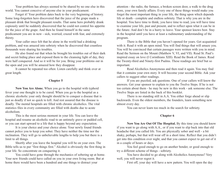Your problem has always seemed to be shared by no one else in this world. You cannot conceive of anyone else in your predicament.

Forget it! Your problem dates back to the very beginning of history. Some long-forgotten hero discovered that the juice of the grape made a pleasant drink that brought pleasant results. That same hero probably drank copiously until he suddenly discovered that he could not control his appetite for the juice of the grape. And then he found himself in the same predicament you are in now - sick, worried, crazed with fear, and extremely thirsty.

Your caller once felt that he alone in the world had a drinking problem, and was amazed into sobriety when he discovered that countless thousands were sharing his troubles.

He also found out that when he brought his troubles out of their dark and secret hiding place and exposed them to the cleansing light of day, they were half conquered. And so it will be for you. Bring your problems out in the open and you will be amazed how they disappear.

It cannot be repeated too often: Listen carefully and think over at great length.

## **Chapter 5**

**Now You Are Alone.** When you go to the hospital with typhoid fever your one thought is to be cured. When you go to the hospital as a chronic alcoholic your only thought should be to conquer a disease that is just as deadly if not so quick to kill. And rest assured that the disease is deadly. The mental hospitals are filled with chronic alcoholics. The vital statistics files in every community are filled with deaths due to acute alcoholism.

This is the most serious moment in your life. You can leave the hospital and resume an alcoholic road to an untimely grave or padded cell, or you can start upward to a life that is happy beyond any expectation.

It is your choice and your choice alone. Your newly found friends cannot police you to keep you sober. They have neither the time nor the inclination. They will go to unbelievable lengths to help you but there is a limit to all things.

Shortly after you leave the hospital you will be on your own. The Bible tells us to put "first things first." Alcohol is obviously the first thing in your life. So concentrate on conquering it.

You could have gone through the mechanics of sobering up at home. Your new friends could have called on you in your own living room. But at home there would have been a hundred and one things to distract your

attention - the radio, the furnace, a broken screen door, a walk to the drug store, your own family affairs. Every one of these things would make you forget the most important thing in your life, the thing upon which depends life or death - complete and endless sobriety. That is why you are in the hospital. You have time to think; you have time to read; you will have time to examine your life, past and present, and to reflect upon what it can be in the future. And don't be in a hurry to leave. Your sponsor knows best. Stay in the hospital until you have at least a rudimentary understanding of the program.

There is the Bible that you haven't opened for years. Get acquainted with it. Read it with an open mind. You will find things that will amaze you. You will be convinced that certain passages were written with you in mind. Read the Sermon on the Mount (Matthew V, VI, and VII). Read St. Paul's inspired essay on love (I Corinthians XIII). Read the Book of James. Read the Twenty-third and Ninety-first Psalms. These readings are brief but so important.

Read Alcoholics Anonymous and then read it again. You may find that it contains your own story. It will become your second Bible. Ask your callers to suggest other readings.

If you are puzzled, ask questions. One of your callers will know the answers. Get your sponsor to explain to you the Twelve Steps. If he is not too certain about them - he may be new in this work - ask someone else. The Twelve Steps are listed in the back of this booklet.

There is no standing still in A.A. You either forge ahead or slip backwards. Even the oldest members, the founders, learn something new almost every day.

You can never learn too much in the search for sobriety.

## **Chapter 6**

**Now You Are Out Of The Hospital.** By this time you should know if you want to go along with A.A., or if you want to slip back into that old headache that you called life. You are physically sober and well - a bit shaky, perhaps, but that will wear off in a short time. Reflect that you didn't get into this condition over night, and that you cannot expect to get out of it in a couple of hours or days.

You feel good enough to go on another bender, or good enough to try a different scheme of things - sobriety.

You have decided to go along with Alcoholics Anonymous? Very well, you will never regret it.

First off, your day will have a new pattern. You will open the day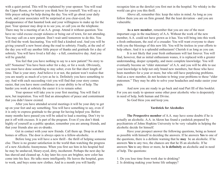with a quiet period. This will be explained by your sponsor. You will read the Upper Room, or whatever you think best for yourself. You will say a little prayer asking for help during the day. You will go about your daily work, and your associates will be surprised at you clear-eyed, the disappearance of that haunted look and your willingness to make up for the past. Your sponsor may drop in to see you, or call you on the telephone. There may be a meeting of an A.A. group. Attend it without question. You have no valid excuse except sickness or being out of town, for not attending. You may call on a new patient. Don't wait until tomorrow to do this. You will find the work fascinating. You will find a kindred soul. And you will be giving yourself a new boost along the road to sobriety. Finally, at the end of the day you will say another little prayer of thanks and gratitude for a day of sobriety. You will have lived a full day - a full, constructive day. And you will be grateful.

You feel that you have nothing to say to a new patient? No story to tell? Nonsense! You have been sober for a day, or for a week. Obviously, you must have done something to stay sober, even for that short length of time. That is your story. And believe it or not, the patient won't realize that you are nearly as much of a tyro as he is. Definitely you have something to say. And with each succeeding visit you will find that your story comes easier, that you have more confidence in your ability to be of help. The harder you work at sobriety the easier it is to remain sober.

Your sponsor will take you to your first meeting. You will find it new, but inspiration. You will find an atmosphere of peace and contentment that you didn't know existed.

After you have attended several meetings it will be your duty to get up on your feet and say something. You will have something to say, even if it is only to express gratitude to the group for having helped you. Before many months have passed you will be asked to lead a meeting. Don't try to put it off with excuses. It is part of the program. Even if you don't think highly of yourself as a public speaker, remember you are among friends, and that your friends also are ex-drunks.

Get in contact with your new friends. Call them up. Drop in at their homes or offices. The door is always open to a fellow-alcoholic.

Before long you will have a new thrill - the thrill of helping someone else. There is no greater satisfaction in the world than watching the progress of a new Alcoholic Anonymous. When you first see him in his hospital bed he may be unshaved, bleary-eyed, dirty, incoherent. Perhaps the next day he has shaved and cleaned up. A day later his eyes are brighter, new color has come into his face. He talks more intelligently. He leaves the hospital, goes to work, and buys some new clothes. And in a month you will hardly

recognize him as the derelict you first met in the hospital. No whisky in the world can give you this thrill.

Above all, remember this: keep the rules in mind. As long as you follow them you are on firm ground. But the least deviation - and you are vulnerable.

**As a new member**, remember that you are one of the most important cogs in the machinery of A.A. Without the work of the new member, A.A. could not have grown as it has. You will bring into this work a fresh enthusiasm, the zeal of a crusader. You will want everyone to share with you the blessings of this new life. You will be tireless in your efforts to help others. And it is a splendid enthusiasm! Cherish it as long as you can.

It is not likely that your fresh enthusiasm will last forever. You will find, however, that as initial enthusiasm wanes, it is replaced with a greater understanding, deeper sympathy, and more complete knowledge. You will eventually become an "elder statesman" of A.A. and you will be able to use your knowledge to help not only brand new members, but those who have been members for a year or more, but who still have perplexing problems. And as a new member, do not hesitate to bring your problems to these "elder statesmen." They may be able to solve your headaches and make easier your pain.

And now you are ready to go back and read Part III of this booklet. For you are ready to sponsor some other poor alcoholic who is desperately in need of help, both human and Divine.

So God bless you and keep you.

#### **Yardstick for Alcoholics**

**The Prospective member** of A.A. may have some doubts if he is actually an alcoholic. A.A. in Akron has found a yardstick prepared by psychiatrists of Johns Hopkins University to be very valuable in helping the alcoholic decide for himself.

Have your prospect answer the following questions, being as honest as possible with himself in deciding the answers. If he answers **Yes** to one of the questions, there is a definite warning that he **may** be an alcoholic. If he answers **Yes** to any two, the chances are that he IS an alcoholic. If he answers **Yes** to any three or more, he **is definitely** an alcoholic and in need of help. The questions:

1. Do you lose time from work due to drinking?

2. Is drinking making your home life unhappy?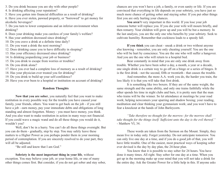3. Do you drink because you are shy with other people?

4. Is drinking affecting your reputation?

5. Have you gotten into financial difficulties as a result of drinking?

6. Have you ever stolen, pawned property, or "borrowed" to get money for alcoholic beverages?

7. Do you turn to lower companions and an inferior environment when drinking?

- 8. Does your drinking make you careless of your family's welfare?
- 9. Has your ambition decreased since drinking?
- 10. Do you crave a drink at a definite time daily?
- 11. Do you want a drink the next morning?
- 12. Does drinking cause you to have difficulty in sleeping?
- 13. Has your efficiency decreased since drinking?
- 14. Is drinking jeopardizing your job or business?
- 15. Do you drink to escape from worries or troubles?
- 16. Do you drink alone?
- 17. Have you ever had a complete loss of memory as a result of drinking?
- 18. Has your physician ever treated you for drinking?
- 19. Do you drink to build up your self-confidence?

20. Have you ever been to a hospital or institution on account of drinking?

## **Random Thoughts**

**Now that you are sober**, you naturally feel that you want to make restitution in every possible way for the trouble you have caused your family, your friends, others. You want to get back on the job - if you still have a job - earn money, pay your immediate debts and obligations of long standing and almost forgotten. Money - you must have money, you think. And you also want to make restitution in action in many ways not financial. If you could wave a magic wand and do all these things you would do it, wouldn't you?

Well, don't be in a hurry. You can't do all these things overnight. But you can do them - gradually, step by step. You may safely leave these matters to a Higher Power as you perhaps ponder them in your morning period of contemplation. If you are sincerely resolved to do your part, they will all be adjusted.

"Be still and know that I am God."

**Sobriety is the most important thing in your life**, without exception. You may believe your job, or your home life, or one of many other things comes first. But consider, if you do not get sober and stay sober, chances are you won't have a job, a family, or even sanity or life. If you are convinced that everything in life depends on your sobriety, you have just so much more chance of getting sober and staying sober. If you put other things first you are only hurting your chances.

You aren't very important in this world. If you lose your job someone better will replace you. If you die your wife will mourn briefly, and then remarry. Your children will grow up and you will be but a memory. In the last analysis, you are the only one who benefits by your sobriety. Seek to cultivate humility. Remember that cockiness leads to a speedy fall.

**If you think** you can cheat - sneak a drink or two without anyone else knowing - remember, you are only cheating yourself. You are the one who will be hurt by conscience. You are the one who will suffer a hangover. And you are the one who will return to a hospital bed.

Bear constantly in mind that you are only one drink away from trouble. Whether you have been sober a day, a month, a year or a decade, one single drink is a certain way to go off on a binge or a series of binges. It is the first drink - not the second, fifth or twentieth - that causes the trouble.

And remember, the more A.A. work you do, the harder you train, the less likely it is that you will take that first drink.

It is something like two boxers. If they are of the same weight, the same strength and the same ability, and only one trains faithfully while the other spends his time in night clubs and bars, it is pretty sure that the man who trains will be the winner. So let attendance at meetings be your road work; helping newcomers your sparring and shadow boxing; your reading, meditation and clear thinking your gymnasium work; and you won't have to fear a knockout at the hands of John Barleycorn.

*"Take therefore no thought for the morrow: for the morrow shall take thought for the things itself. Sufficient unto the day is the evil thereof."* - Matthew VI, 34.

These words are taken from the Sermon on the Mount. Simply, they mean live in today only. Forget yesterday. Do not anticipate tomorrow. You can only live one day at a time, and if you do a good job of that, you will have little trouble. One of the easiest, most practical ways of keeping sober ever devised is the day by day plan, the 24-hour plan.

You know that it is possible to stay sober for 24 hours. You have done it many times. All right. Stay sober for one day at a time. When you get up in the morning make up your mind that you will not take a drink for the entire day. Ask the Greater Power for a little help in this. If anyone asks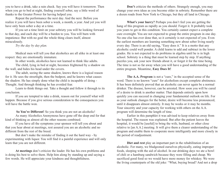you to have a drink, take a rain check. Say you will have it tomorrow. Then when you go to bed at night, finding yourself sober, say a little word of thanks to the Greater Power for having helped you.

Repeat the performance the next day. And the next. Before you realize it you will have been sober a week, a month, a year. And yet you will have only been sober a day at a time.

If you set a time limit on your sobriety you will be looking forward to that day, and each day will be a burden to you. You will burn with impatience. But with no goal the whole thing clears itself, almost miraculously.

*Try the day by day plan.*

Medical men will tell you that alcoholics are all alike in at least one respect: they are emotionally immature.

In other words, alcoholics have not learned to think like adults.

The child, lying in bed at night, becomes frightened by a shadow on the wall, and hides his head under the covers.

The adult, seeing the same shadow, knows there is a logical reason for it. He sees the streetlight, then the bedpost, and he knows what causes the shadow. He has simply done what the child is incapable of doing - Thought. And through thinking he has avoided fear.

Learn to think things out. Take a thought and follow it through to its conclusion.

If you are tempted to take a drink, reason out for yourself what will happen. Because if you give serious consideration to the consequences you will have the battle won.

**So You're Different!** So you think you are not an alcoholic!

As many Alcoholics Anonymous have gone off the deep end for that kind of thinking as almost all the other reasons combined.

If you have all the symptoms your sponsor will tell you about and that you hear about at meetings, rest assured you are an alcoholic and no different from the rest of the breed.

But don't make the mistake of finding it out the hard way - by experimenting with liquor. You will find it a painful experience and will only learn that you are not different.

**At meetings** don't criticize the leader. He has his own problems and is doing his best to solve them. Help him along by standing up and saying a few words. He will appreciate your kindness and thoughtfulness.

**Don't** criticize the methods of others. Strangely enough, you may change your own ideas as you become older in sobriety. Remember there are a dozen roads from New York to Chicago, but they all land in Chicago.

**What's your hurry?** Perhaps you don't feel you are getting the hang of this program as rapidly as you should. Forget it. It probably took you years to get in this condition. You certainly cannot expect a complete cure overnight. You are not expected to grasp the entire program in one day. No one else has ever done that, so it certainly is not expected of you. Even the earliest members are learning something new about sober living nearly every day. There is an old saying, "Easy does it." It is a motto that any alcoholic could well ponder. A child learns to add and subtract in the lower grades. He is not expected to do problems in algebra until he is in high school. Sobriety is a thing that must be learned step by step. If anything puzzles you, ask your new friends about it, or forget it for the time being. The time is not so far away when you will have a good understanding of the entire program. Meantime, **Easy Does It!**

**The A.A. Program** is not a "cure," in the accepted sense of the word. There is no known "cure" for alcoholism except complete abstinence. It has been definitely proved that an alcoholic can never again be a normal drinker. The disease, however, can be arrested. How soon you will be cured of a desire to drink is another matter. That depends entirely upon how quickly you can succeed in changing your fundamental outlook on life. For as your outlook changes for the better, desire will become less pronounced, until it disappears almost entirely. It may be weeks or it may be months. Your sincerity and your capacity for working with others on the A.A. program will determine the length of time.

Earlier in this pamphlet it was advised to keep relatives away from the hospital. The reason was explained. But after the patient leaves the hospital, it would be [useful] to bring the wife, husband, or other close relative to [an A.A.] meeting. It will give them a clearer understanding of the program and enable them to cooperate more intelligently and more closely in the period of readjustment.

**Diet and rest** play an important part in the rehabilitation of an alcoholic. For many, we bludgeoned ourselves physically, eating improper foods, sleeping with the aid of alcohol. In our drinking days we ate a bowl of chili or a hamburg sandwich because they were filling and cheap. We sacrificed good food so we would have more money for whiskey. We were the living counterparts of the old joke: "What, buying bread? And not a drop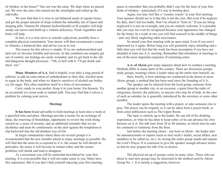of whiskey in the house!" Our rest was the same. We slept when we passed out. We were the ones who turned out the streetlights and rolled up the sidewalks.

We now find that it is wise to eat balanced meals at regular hours, and get the proper amount of sleep without the unhealthy aid of liquor and sleeping pills. Vitamin B1 (thiamin hydrochloride) or B complex will help steady our nerves and build up a vitamin deficiency. Fresh vegetables and fruits will help.

In fact, it is a wise move to consult a physician, possibly have a complete physical examination. Your doctor will then recommend a course in vitamins, a balanced diet, and advise you as to rest.

The reason for this advice is simple. If we are undernourished and lack rest we become irritable and nervous. In this condition our tempers get out of control, our feelings are easily wounded, and we get back to the old and dangerous thought processes - "Oh, to hell with it. I'll get drunk and show 'em."

**Many Members of A.A.** find it helpful, even after a long period of sobriety, to add an extra ration of carbohydrates to their diet. Alcohol turns to sugar in the body, and when we deprive ourselves of alcohol our bodies cry for sugar. This often manifests itself in a form of nervousness.

Carry candy in your pocket. Keep it in your home. Eat desserts. Try an occasional ice cream soda or malted milk. You may find that it solves a problem by calming your nerves.

## **Meetings**

**It has been** found advisable to hold meetings at least once a week at a specified time and place. Meetings provide a means for an exchange of ideas, the renewing of friendships, opportunity to review the work being carried on, a sense of security, and an additional reminder that we are alcoholics and must be continuously on the alert against the temptation to slip backward into the old drunken way of life.

In larger communities where there are several groups it is recommended that the new member attend as many meetings as possible. He will find that the more he is exposed to A.A. the sooner he will absorb its principles, the easier it will become to remain sober, and the sooner problems will shrink and tend to disappear.

As a newcomer you will be somewhat bewildered by your first meeting. It is even possible that it will not make sense to you. Many have this experience. But if you don't find yourself enjoying your first meeting, pause to remember that you probably didn't care for the taste of your first drink of whiskey - particularly if it was in bootleg days.

Again, you may feel like a "country cousin" at your first meeting. Your sponsor should see to it that this is not the case. But even if he neglects his duty, don't feel too badly. Don't be afraid to "horn in." If you are being neglected it is just an oversight, and you are entirely welcome. It is possible that you may not even be recognized because your appearance has changed for the better. In a week or two you will find yourself in the middle of things - and very likely neglecting other newcomers.

So attend your first meeting with an open mind. Even if you aren't impressed try it again. Before long you will genuinely enjoy attending and a little later you will feel that the week has been incomplete if you have not attended at least one A.A. meeting. Remember that attendance at meetings is one of the most important requisites of remaining sober.

**A.A. of Akron** gets many inquiries about how to conduct a meeting. Methods differ in many parts of the country. There are discussion groups, study groups, meetings where a leader takes up the entire time himself, etc.

Here, briefly, is how meetings are conducted in the dozen or more Akron groups, a method that has been used since the founding of A.A.:

The speaker can be selected from the local group, someone from another group or another city, or on occasion, a guest from the ranks of clergymen, doctors, the judiciary, or anyone who may be of help. In the case of such an outsider, he is generally introduced by the secretary or some other member.

The leader opens the meeting with a prayer, or asks someone else to pray. The prayer can be original, or it can be taken from a prayer book, or from some publication such as The Upper Room.

The topic is entirely up to the leader. He can tell of his drinking experiences, or what he has done to keep sober, or he can advance his own theories on A.A. His talk lasts from 20 to 40 minutes, at which time he asks for comment or testimony from the floor.

Just before the meeting closes - one hour in Akron - the leader asks for announcements or reports (such as next week's leader, social affairs, new members to be called on, etc.). In closing the entire group stands and repeats the Lord's Prayer. It is courteous to give the speaker enough advance notice so that he may prepare his talk if he so desires.

The physical set-up of groups varies in many cities. Those who are about to start new groups may be interested in the method used by Akron Group No. 1. It is merely a suggestion, however.